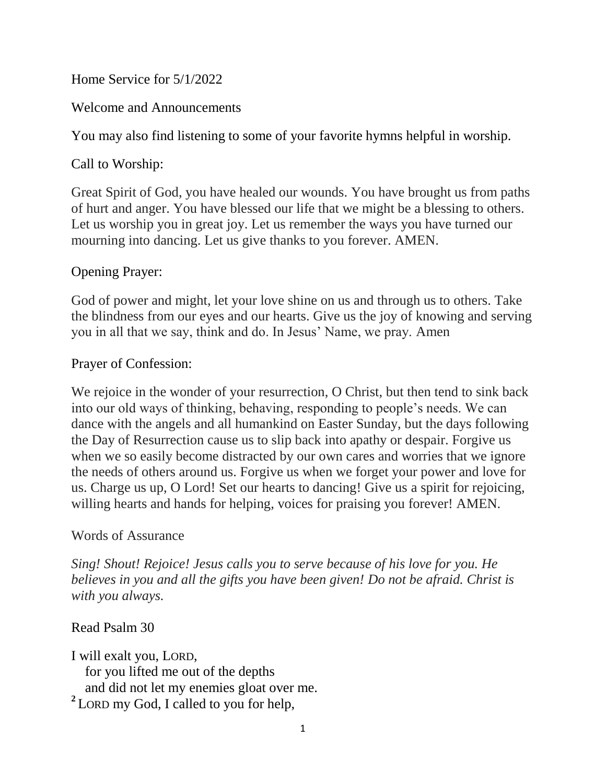Home Service for 5/1/2022

Welcome and Announcements

You may also find listening to some of your favorite hymns helpful in worship.

Call to Worship:

Great Spirit of God, you have healed our wounds. You have brought us from paths of hurt and anger. You have blessed our life that we might be a blessing to others. Let us worship you in great joy. Let us remember the ways you have turned our mourning into dancing. Let us give thanks to you forever. AMEN.

# Opening Prayer:

God of power and might, let your love shine on us and through us to others. Take the blindness from our eyes and our hearts. Give us the joy of knowing and serving you in all that we say, think and do. In Jesus' Name, we pray. Amen

# Prayer of Confession:

We rejoice in the wonder of your resurrection, O Christ, but then tend to sink back into our old ways of thinking, behaving, responding to people's needs. We can dance with the angels and all humankind on Easter Sunday, but the days following the Day of Resurrection cause us to slip back into apathy or despair. Forgive us when we so easily become distracted by our own cares and worries that we ignore the needs of others around us. Forgive us when we forget your power and love for us. Charge us up, O Lord! Set our hearts to dancing! Give us a spirit for rejoicing, willing hearts and hands for helping, voices for praising you forever! AMEN.

### Words of Assurance

*Sing! Shout! Rejoice! Jesus calls you to serve because of his love for you. He believes in you and all the gifts you have been given! Do not be afraid. Christ is with you always.*

### Read Psalm 30

I will exalt you, LORD, for you lifted me out of the depths and did not let my enemies gloat over me. <sup>2</sup> LORD my God, I called to you for help,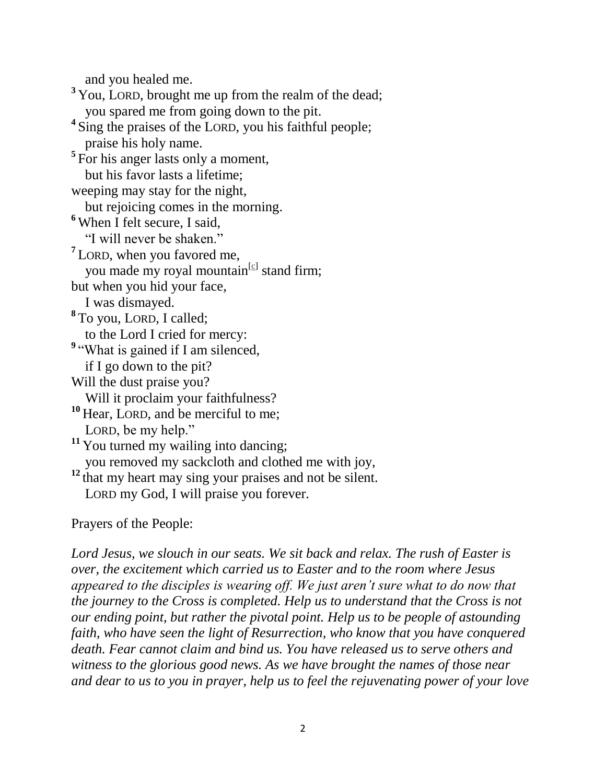and you healed me.

<sup>3</sup> You, LORD, brought me up from the realm of the dead; you spared me from going down to the pit. <sup>4</sup> Sing the praises of the LORD, you his faithful people; praise his holy name. <sup>5</sup>For his anger lasts only a moment, but his favor lasts a lifetime; weeping may stay for the night, but rejoicing comes in the morning. **<sup>6</sup>** When I felt secure, I said, "I will never be shaken." **7** LORD, when you favored me, you made my royal mountain<sup>[\[c\]](https://www.biblegateway.com/passage/?search=Psalm+30&version=NIV#fen-NIV-14327c)</sup> stand firm; but when you hid your face, I was dismayed. **8** To you, LORD, I called; to the Lord I cried for mercy: <sup>9</sup> "What is gained if I am silenced, if I go down to the pit? Will the dust praise you? Will it proclaim your faithfulness? **<sup>10</sup>** Hear, LORD, and be merciful to me; LORD, be my help." <sup>11</sup> You turned my wailing into dancing; you removed my sackcloth and clothed me with joy, **<sup>12</sup>** that my heart may sing your praises and not be silent. LORD my God, I will praise you forever.

Prayers of the People:

*Lord Jesus, we slouch in our seats. We sit back and relax. The rush of Easter is over, the excitement which carried us to Easter and to the room where Jesus appeared to the disciples is wearing off. We just aren't sure what to do now that the journey to the Cross is completed. Help us to understand that the Cross is not our ending point, but rather the pivotal point. Help us to be people of astounding faith, who have seen the light of Resurrection, who know that you have conquered death. Fear cannot claim and bind us. You have released us to serve others and witness to the glorious good news. As we have brought the names of those near and dear to us to you in prayer, help us to feel the rejuvenating power of your love*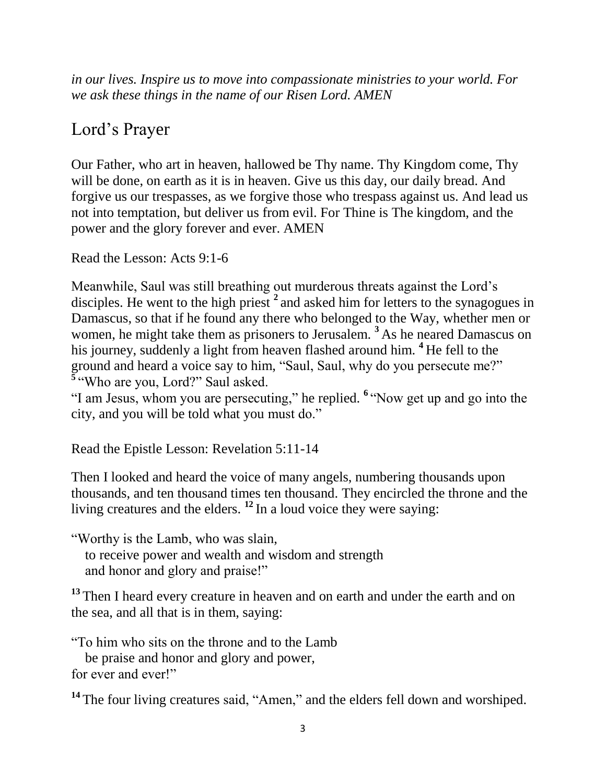*in our lives. Inspire us to move into compassionate ministries to your world. For we ask these things in the name of our Risen Lord. AMEN*

# Lord's Prayer

Our Father, who art in heaven, hallowed be Thy name. Thy Kingdom come, Thy will be done, on earth as it is in heaven. Give us this day, our daily bread. And forgive us our trespasses, as we forgive those who trespass against us. And lead us not into temptation, but deliver us from evil. For Thine is The kingdom, and the power and the glory forever and ever. AMEN

Read the Lesson: Acts 9:1-6

Meanwhile, Saul was still breathing out murderous threats against the Lord's disciples. He went to the high priest <sup>2</sup> and asked him for letters to the synagogues in Damascus, so that if he found any there who belonged to the Way, whether men or women, he might take them as prisoners to Jerusalem. **<sup>3</sup>** As he neared Damascus on his journey, suddenly a light from heaven flashed around him. **<sup>4</sup>** He fell to the ground and heard a voice say to him, "Saul, Saul, why do you persecute me?" **5** "Who are you, Lord?" Saul asked.

"I am Jesus, whom you are persecuting," he replied. **<sup>6</sup>** "Now get up and go into the city, and you will be told what you must do."

Read the Epistle Lesson: Revelation 5:11-14

Then I looked and heard the voice of many angels, numbering thousands upon thousands, and ten thousand times ten thousand. They encircled the throne and the living creatures and the elders. **<sup>12</sup>** In a loud voice they were saying:

"Worthy is the Lamb, who was slain,

 to receive power and wealth and wisdom and strength and honor and glory and praise!"

**<sup>13</sup>** Then I heard every creature in heaven and on earth and under the earth and on the sea, and all that is in them, saying:

"To him who sits on the throne and to the Lamb

 be praise and honor and glory and power, for ever and ever!"

<sup>14</sup> The four living creatures said, "Amen," and the elders fell down and worshiped.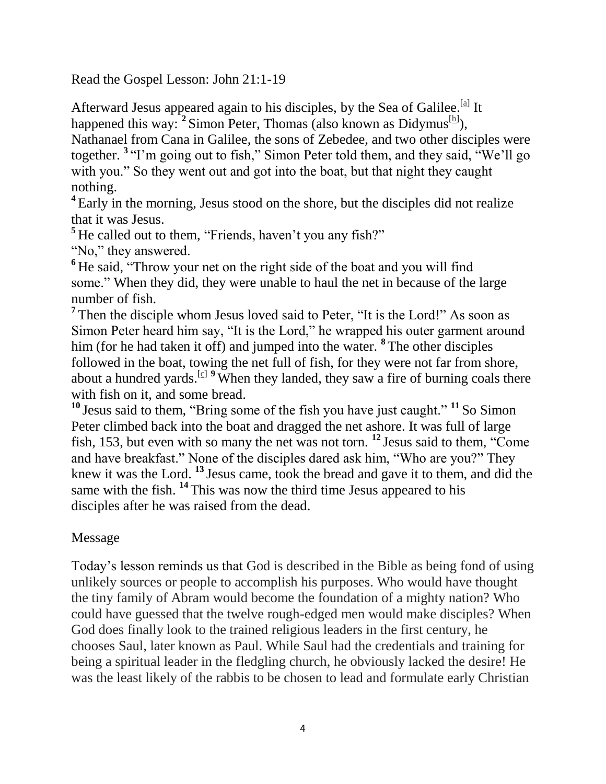Read the Gospel Lesson: John 21:1-19

Afterward Jesus appeared again to his disciples, by the Sea of Galilee.<sup>[\[a\]](https://www.biblegateway.com/passage/?search=John+21%3A1-19&version=NIV#fen-NIV-26900a)</sup> It happened this way: <sup>2</sup> Simon Peter, Thomas (also known as Didymus<sup>[\[b\]](https://www.biblegateway.com/passage/?search=John+21%3A1-19&version=NIV#fen-NIV-26901b)</sup>), Nathanael from Cana in Galilee, the sons of Zebedee, and two other disciples were together. **<sup>3</sup>** "I'm going out to fish," Simon Peter told them, and they said, "We'll go

with you." So they went out and got into the boat, but that night they caught nothing.

<sup>4</sup> Early in the morning, Jesus stood on the shore, but the disciples did not realize that it was Jesus.

<sup>5</sup>He called out to them, "Friends, haven't you any fish?"

"No," they answered.

**<sup>6</sup>** He said, "Throw your net on the right side of the boat and you will find some." When they did, they were unable to haul the net in because of the large number of fish.

<sup>7</sup> Then the disciple whom Jesus loved said to Peter, "It is the Lord!" As soon as Simon Peter heard him say, "It is the Lord," he wrapped his outer garment around him (for he had taken it off) and jumped into the water. **<sup>8</sup>** The other disciples followed in the boat, towing the net full of fish, for they were not far from shore, about a hundred yards.<sup>[\[c\]](https://www.biblegateway.com/passage/?search=John+21%3A1-19&version=NIV#fen-NIV-26907c) 9</sup> When they landed, they saw a fire of burning coals there with fish on it, and some bread.

**<sup>10</sup>** Jesus said to them, "Bring some of the fish you have just caught." **<sup>11</sup>** So Simon Peter climbed back into the boat and dragged the net ashore. It was full of large fish, 153, but even with so many the net was not torn. **<sup>12</sup>** Jesus said to them, "Come and have breakfast." None of the disciples dared ask him, "Who are you?" They knew it was the Lord. **<sup>13</sup>** Jesus came, took the bread and gave it to them, and did the same with the fish. **<sup>14</sup>** This was now the third time Jesus appeared to his disciples after he was raised from the dead.

### Message

Today's lesson reminds us that God is described in the Bible as being fond of using unlikely sources or people to accomplish his purposes. Who would have thought the tiny family of Abram would become the foundation of a mighty nation? Who could have guessed that the twelve rough-edged men would make disciples? When God does finally look to the trained religious leaders in the first century, he chooses Saul, later known as Paul. While Saul had the credentials and training for being a spiritual leader in the fledgling church, he obviously lacked the desire! He was the least likely of the rabbis to be chosen to lead and formulate early Christian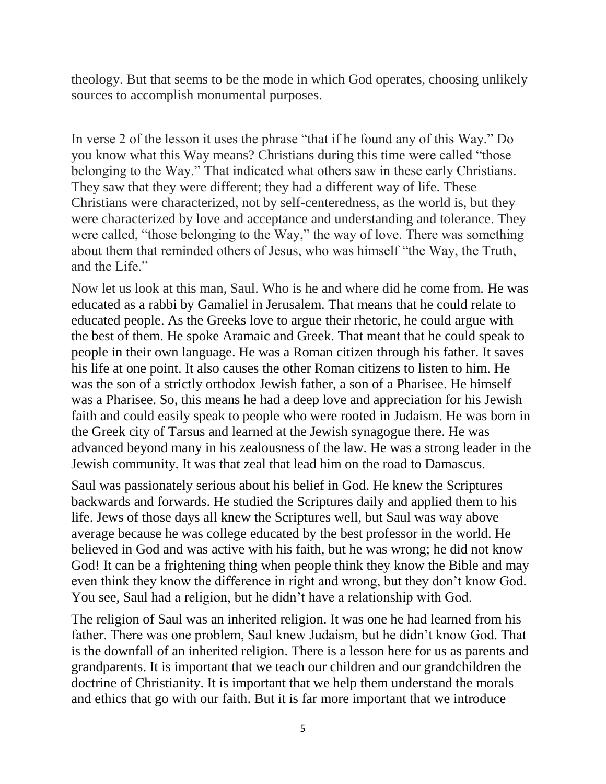theology. But that seems to be the mode in which God operates, choosing unlikely sources to accomplish monumental purposes.

In verse 2 of the lesson it uses the phrase "that if he found any of this Way." Do you know what this Way means? Christians during this time were called "those belonging to the Way." That indicated what others saw in these early Christians. They saw that they were different; they had a different way of life. These Christians were characterized, not by self-centeredness, as the world is, but they were characterized by love and acceptance and understanding and tolerance. They were called, "those belonging to the Way," the way of love. There was something about them that reminded others of Jesus, who was himself "the Way, the Truth, and the Life."

Now let us look at this man, Saul. Who is he and where did he come from. He was educated as a rabbi by Gamaliel in Jerusalem. That means that he could relate to educated people. As the Greeks love to argue their rhetoric, he could argue with the best of them. He spoke Aramaic and Greek. That meant that he could speak to people in their own language. He was a Roman citizen through his father. It saves his life at one point. It also causes the other Roman citizens to listen to him. He was the son of a strictly orthodox Jewish father, a son of a Pharisee. He himself was a Pharisee. So, this means he had a deep love and appreciation for his Jewish faith and could easily speak to people who were rooted in Judaism. He was born in the Greek city of Tarsus and learned at the Jewish synagogue there. He was advanced beyond many in his zealousness of the law. He was a strong leader in the Jewish community. It was that zeal that lead him on the road to Damascus.

Saul was passionately serious about his belief in God. He knew the Scriptures backwards and forwards. He studied the Scriptures daily and applied them to his life. Jews of those days all knew the Scriptures well, but Saul was way above average because he was college educated by the best professor in the world. He believed in God and was active with his faith, but he was wrong; he did not know God! It can be a frightening thing when people think they know the Bible and may even think they know the difference in right and wrong, but they don't know God. You see, Saul had a religion, but he didn't have a relationship with God.

The religion of Saul was an inherited religion. It was one he had learned from his father. There was one problem, Saul knew Judaism, but he didn't know God. That is the downfall of an inherited religion. There is a lesson here for us as parents and grandparents. It is important that we teach our children and our grandchildren the doctrine of Christianity. It is important that we help them understand the morals and ethics that go with our faith. But it is far more important that we introduce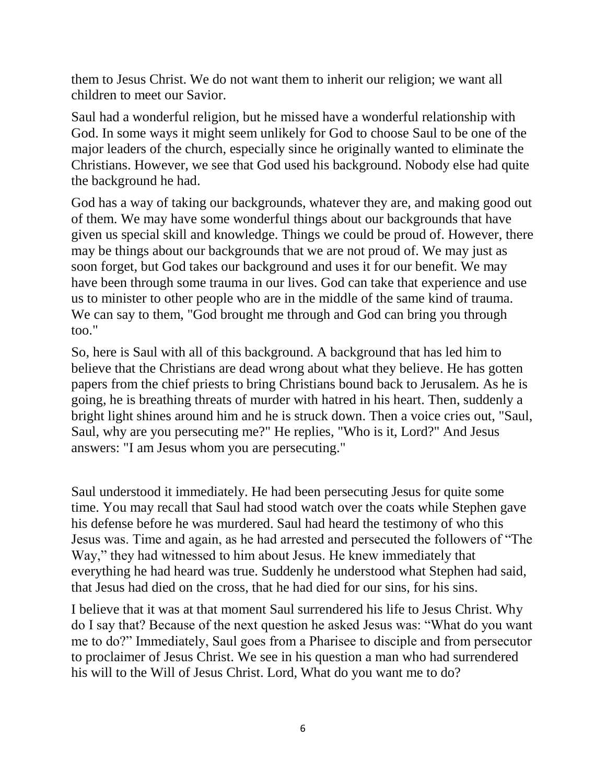them to Jesus Christ. We do not want them to inherit our religion; we want all children to meet our Savior.

Saul had a wonderful religion, but he missed have a wonderful relationship with God. In some ways it might seem unlikely for God to choose Saul to be one of the major leaders of the church, especially since he originally wanted to eliminate the Christians. However, we see that God used his background. Nobody else had quite the background he had.

God has a way of taking our backgrounds, whatever they are, and making good out of them. We may have some wonderful things about our backgrounds that have given us special skill and knowledge. Things we could be proud of. However, there may be things about our backgrounds that we are not proud of. We may just as soon forget, but God takes our background and uses it for our benefit. We may have been through some trauma in our lives. God can take that experience and use us to minister to other people who are in the middle of the same kind of trauma. We can say to them, "God brought me through and God can bring you through too."

So, here is Saul with all of this background. A background that has led him to believe that the Christians are dead wrong about what they believe. He has gotten papers from the chief priests to bring Christians bound back to Jerusalem. As he is going, he is breathing threats of murder with hatred in his heart. Then, suddenly a bright light shines around him and he is struck down. Then a voice cries out, "Saul, Saul, why are you persecuting me?" He replies, "Who is it, Lord?" And Jesus answers: "I am Jesus whom you are persecuting."

Saul understood it immediately. He had been persecuting Jesus for quite some time. You may recall that Saul had stood watch over the coats while Stephen gave his defense before he was murdered. Saul had heard the testimony of who this Jesus was. Time and again, as he had arrested and persecuted the followers of "The Way," they had witnessed to him about Jesus. He knew immediately that everything he had heard was true. Suddenly he understood what Stephen had said, that Jesus had died on the cross, that he had died for our sins, for his sins.

I believe that it was at that moment Saul surrendered his life to Jesus Christ. Why do I say that? Because of the next question he asked Jesus was: "What do you want me to do?" Immediately, Saul goes from a Pharisee to disciple and from persecutor to proclaimer of Jesus Christ. We see in his question a man who had surrendered his will to the Will of Jesus Christ. Lord, What do you want me to do?